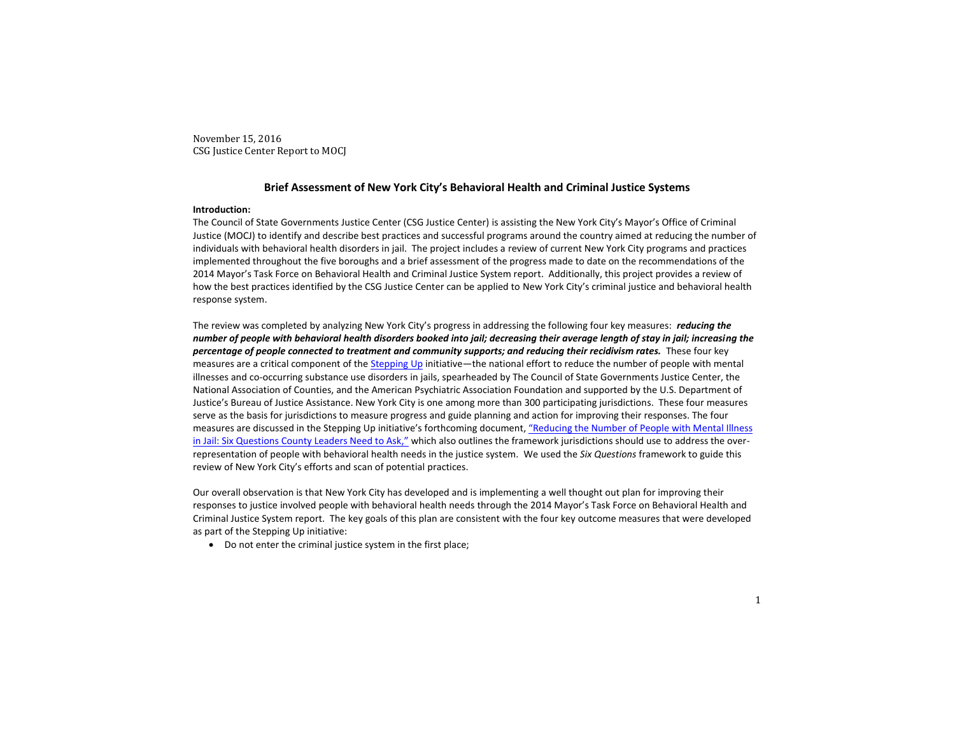# **Brief Assessment of New York City's Behavioral Health and Criminal Justice Systems**

#### **Introduction:**

The Council of State Governments Justice Center (CSG Justice Center) is assisting the New York City's Mayor's Office of Criminal Justice (MOCJ) to identify and describe best practices and successful programs around the country aimed at reducing the number of individuals with behavioral health disorders in jail. The project includes a review of current New York City programs and practices implemented throughout the five boroughs and a brief assessment of the progress made to date on the recommendations of the 2014 Mayor's Task Force on Behavioral Health and Criminal Justice System report. Additionally, this project provides a review of how the best practices identified by the CSG Justice Center can be applied to New York City's criminal justice and behavioral health response system.

The review was completed by analyzing New York City's progress in addressing the following four key measures: *reducing the number of people with behavioral health disorders booked into jail; decreasing their average length of stay in jail; increasing the percentage of people connected to treatment and community supports; and reducing their recidivism rates.* These four key measures are a critical component of the [Stepping Up](https://stepuptogether.org/) initiative—the national effort to reduce the number of people with mental illnesses and co-occurring substance use disorders in jails, spearheaded by The Council of State Governments Justice Center, the National Association of Counties, and the American Psychiatric Association Foundation and supported by the U.S. Department of Justice's Bureau of Justice Assistance. New York City is one among more than 300 participating jurisdictions. These four measures serve as the basis for jurisdictions to measure progress and guide planning and action for improving their responses. The four measures are discussed in the Stepping Up initiative's forthcoming document, "[Reducing the Number of People with Mental Illness](https://drive.google.com/open?id=0B0SjHPHMZgzZYTkySTRtWmhJS1E)  [in Jail: Six Questions County Leaders Need to Ask,](https://drive.google.com/open?id=0B0SjHPHMZgzZYTkySTRtWmhJS1E)" which also outlines the framework jurisdictions should use to address the overrepresentation of people with behavioral health needs in the justice system. We used the *Six Questions* framework to guide this review of New York City's efforts and scan of potential practices.

Our overall observation is that New York City has developed and is implementing a well thought out plan for improving their responses to justice involved people with behavioral health needs through the 2014 Mayor's Task Force on Behavioral Health and Criminal Justice System report. The key goals of this plan are consistent with the four key outcome measures that were developed as part of the Stepping Up initiative:

• Do not enter the criminal justice system in the first place;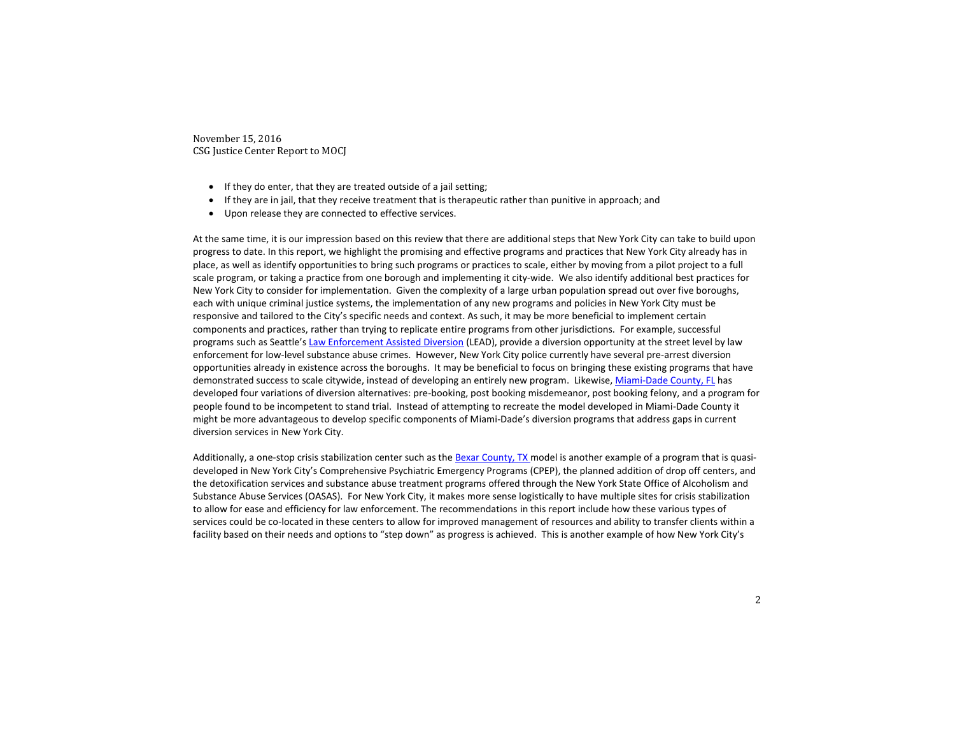- If they do enter, that they are treated outside of a jail setting;
- If they are in jail, that they receive treatment that is therapeutic rather than punitive in approach; and
- Upon release they are connected to effective services.

At the same time, it is our impression based on this review that there are additional steps that New York City can take to build upon progress to date. In this report, we highlight the promising and effective programs and practices that New York City already has in place, as well as identify opportunities to bring such programs or practices to scale, either by moving from a pilot project to a full scale program, or taking a practice from one borough and implementing it city-wide. We also identify additional best practices for New York City to consider for implementation. Given the complexity of a large urban population spread out over five boroughs, each with unique criminal justice systems, the implementation of any new programs and policies in New York City must be responsive and tailored to the City's specific needs and context. As such, it may be more beneficial to implement certain components and practices, rather than trying to replicate entire programs from other jurisdictions. For example, successful programs such as Seattle's [Law Enforcement Assisted Diversion](http://leadkingcounty.org/) (LEAD), provide a diversion opportunity at the street level by law enforcement for low-level substance abuse crimes. However, New York City police currently have several pre-arrest diversion opportunities already in existence across the boroughs. It may be beneficial to focus on bringing these existing programs that have demonstrated success to scale citywide, instead of developing an entirely new program. Likewise, [Miami-Dade County,](http://www.naco.org/resources/mental-health-and-criminal-justice-case-study-miami-dade-county) FL has developed four variations of diversion alternatives: pre-booking, post booking misdemeanor, post booking felony, and a program for people found to be incompetent to stand trial. Instead of attempting to recreate the model developed in Miami-Dade County it might be more advantageous to develop specific components of Miami-Dade's diversion programs that address gaps in current diversion services in New York City.

Additionally, a one-stop crisis stabilization center such as the [Bexar County,](http://chcsbc.org/location/restoration-center-centercare-clinic/) TX model is another example of a program that is quasideveloped in New York City's Comprehensive Psychiatric Emergency Programs (CPEP), the planned addition of drop off centers, and the detoxification services and substance abuse treatment programs offered through the New York State Office of Alcoholism and Substance Abuse Services (OASAS). For New York City, it makes more sense logistically to have multiple sites for crisis stabilization to allow for ease and efficiency for law enforcement. The recommendations in this report include how these various types of services could be co-located in these centers to allow for improved management of resources and ability to transfer clients within a facility based on their needs and options to "step down" as progress is achieved. This is another example of how New York City's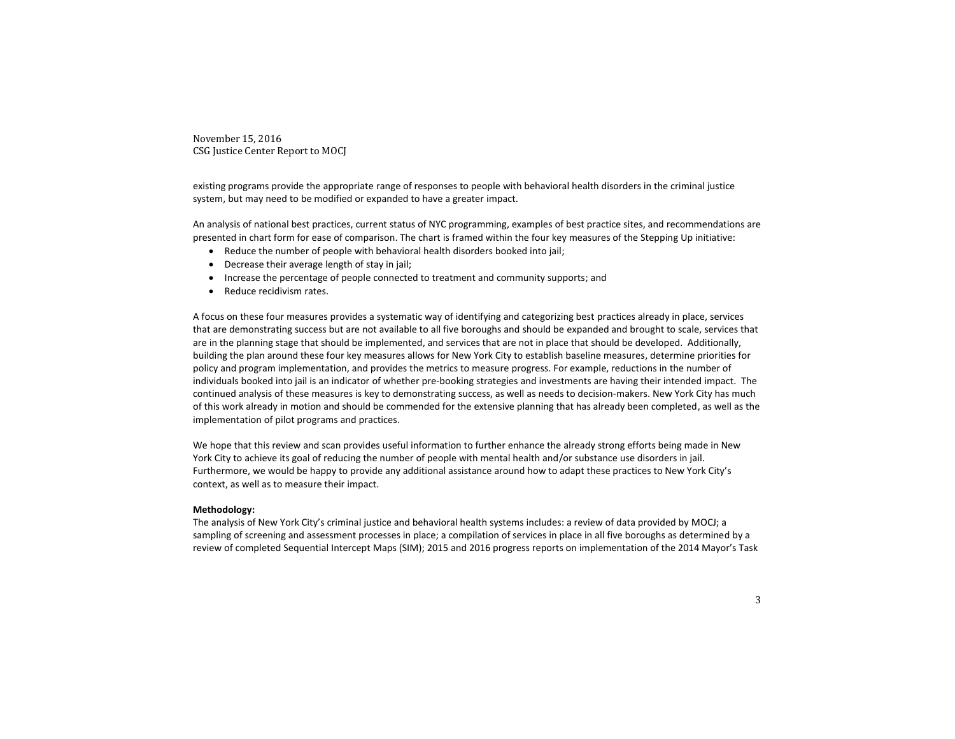existing programs provide the appropriate range of responses to people with behavioral health disorders in the criminal justice system, but may need to be modified or expanded to have a greater impact.

An analysis of national best practices, current status of NYC programming, examples of best practice sites, and recommendations are presented in chart form for ease of comparison. The chart is framed within the four key measures of the Stepping Up initiative:

- Reduce the number of people with behavioral health disorders booked into jail;
- $\bullet$  Decrease their average length of stay in jail;
- Increase the percentage of people connected to treatment and community supports; and
- Reduce recidivism rates.

A focus on these four measures provides a systematic way of identifying and categorizing best practices already in place, services that are demonstrating success but are not available to all five boroughs and should be expanded and brought to scale, services that are in the planning stage that should be implemented, and services that are not in place that should be developed. Additionally, building the plan around these four key measures allows for New York City to establish baseline measures, determine priorities for policy and program implementation, and provides the metrics to measure progress. For example, reductions in the number of individuals booked into jail is an indicator of whether pre-booking strategies and investments are having their intended impact. The continued analysis of these measures is key to demonstrating success, as well as needs to decision-makers. New York City has much of this work already in motion and should be commended for the extensive planning that has already been completed, as well as the implementation of pilot programs and practices.

We hope that this review and scan provides useful information to further enhance the already strong efforts being made in New York City to achieve its goal of reducing the number of people with mental health and/or substance use disorders in jail. Furthermore, we would be happy to provide any additional assistance around how to adapt these practices to New York City's context, as well as to measure their impact.

#### **Methodology:**

The analysis of New York City's criminal justice and behavioral health systems includes: a review of data provided by MOCJ; a sampling of screening and assessment processes in place; a compilation of services in place in all five boroughs as determined by a review of completed Sequential Intercept Maps (SIM); 2015 and 2016 progress reports on implementation of the 2014 Mayor's Task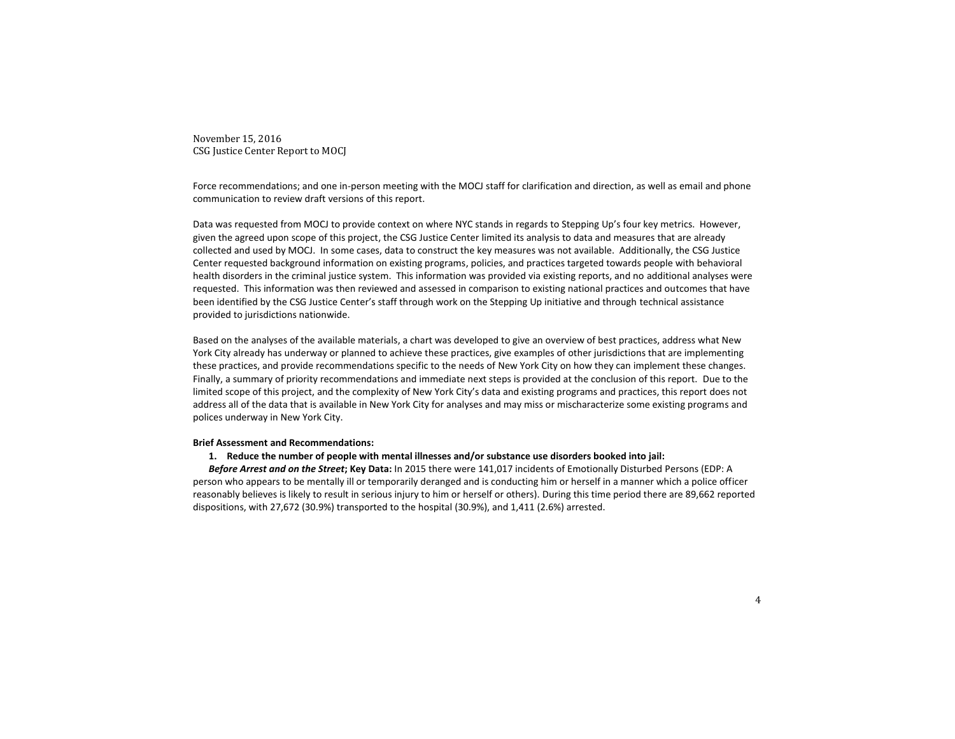Force recommendations; and one in-person meeting with the MOCJ staff for clarification and direction, as well as email and phone communication to review draft versions of this report.

Data was requested from MOCJ to provide context on where NYC stands in regards to Stepping Up's four key metrics. However, given the agreed upon scope of this project, the CSG Justice Center limited its analysis to data and measures that are already collected and used by MOCJ. In some cases, data to construct the key measures was not available. Additionally, the CSG Justice Center requested background information on existing programs, policies, and practices targeted towards people with behavioral health disorders in the criminal justice system. This information was provided via existing reports, and no additional analyses were requested. This information was then reviewed and assessed in comparison to existing national practices and outcomes that have been identified by the CSG Justice Center's staff through work on the Stepping Up initiative and through technical assistance provided to jurisdictions nationwide.

Based on the analyses of the available materials, a chart was developed to give an overview of best practices, address what New York City already has underway or planned to achieve these practices, give examples of other jurisdictions that are implementing these practices, and provide recommendations specific to the needs of New York City on how they can implement these changes. Finally, a summary of priority recommendations and immediate next steps is provided at the conclusion of this report. Due to the limited scope of this project, and the complexity of New York City's data and existing programs and practices, this report does not address all of the data that is available in New York City for analyses and may miss or mischaracterize some existing programs and polices underway in New York City.

#### **Brief Assessment and Recommendations:**

#### **1. Reduce the number of people with mental illnesses and/or substance use disorders booked into jail:**

*Before Arrest and on the Street***; Key Data:** In 2015 there were 141,017 incidents of Emotionally Disturbed Persons (EDP: A person who appears to be mentally ill or temporarily deranged and is conducting him or herself in a manner which a police officer reasonably believes is likely to result in serious injury to him or herself or others). During this time period there are 89,662 reported dispositions, with 27,672 (30.9%) transported to the hospital (30.9%), and 1,411 (2.6%) arrested.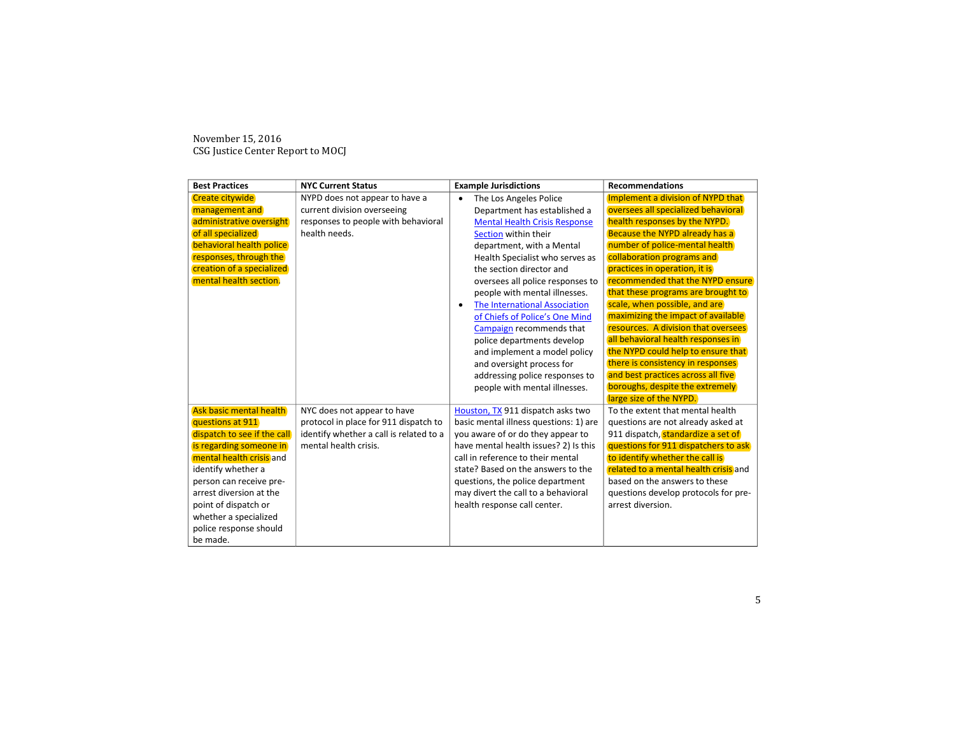| <b>Best Practices</b>       | <b>NYC Current Status</b>               | <b>Example Jurisdictions</b>               | <b>Recommendations</b>                |
|-----------------------------|-----------------------------------------|--------------------------------------------|---------------------------------------|
| Create citywide             | NYPD does not appear to have a          | The Los Angeles Police<br>$\bullet$        | Implement a division of NYPD that     |
| management and              | current division overseeing             | Department has established a               | oversees all specialized behavioral   |
| administrative oversight    | responses to people with behavioral     | <b>Mental Health Crisis Response</b>       | health responses by the NYPD.         |
| of all specialized          | health needs.                           | Section within their                       | Because the NYPD already has a        |
| behavioral health police    |                                         | department, with a Mental                  | number of police-mental health        |
| responses, through the      |                                         | Health Specialist who serves as            | collaboration programs and            |
| creation of a specialized   |                                         | the section director and                   | practices in operation, it is         |
| mental health section.      |                                         | oversees all police responses to           | recommended that the NYPD ensure      |
|                             |                                         | people with mental illnesses.              | that these programs are brought to    |
|                             |                                         | The International Association<br>$\bullet$ | scale, when possible, and are         |
|                             |                                         | of Chiefs of Police's One Mind             | maximizing the impact of available    |
|                             |                                         | Campaign recommends that                   | resources. A division that oversees   |
|                             |                                         | police departments develop                 | all behavioral health responses in    |
|                             |                                         | and implement a model policy               | the NYPD could help to ensure that    |
|                             |                                         | and oversight process for                  | there is consistency in responses     |
|                             |                                         | addressing police responses to             | and best practices across all five    |
|                             |                                         | people with mental illnesses.              | boroughs, despite the extremely       |
|                             |                                         |                                            | large size of the NYPD.               |
| Ask basic mental health     | NYC does not appear to have             | Houston, TX 911 dispatch asks two          | To the extent that mental health      |
| questions at 911            | protocol in place for 911 dispatch to   | basic mental illness questions: 1) are     | questions are not already asked at    |
| dispatch to see if the call | identify whether a call is related to a | you aware of or do they appear to          | 911 dispatch, standardize a set of    |
| is regarding someone in     | mental health crisis.                   | have mental health issues? 2) Is this      | questions for 911 dispatchers to ask  |
| mental health crisis and    |                                         | call in reference to their mental          | to identify whether the call is       |
| identify whether a          |                                         | state? Based on the answers to the         | related to a mental health crisis and |
| person can receive pre-     |                                         | questions, the police department           | based on the answers to these         |
| arrest diversion at the     |                                         | may divert the call to a behavioral        | questions develop protocols for pre-  |
| point of dispatch or        |                                         | health response call center.               | arrest diversion.                     |
| whether a specialized       |                                         |                                            |                                       |
| police response should      |                                         |                                            |                                       |
| be made.                    |                                         |                                            |                                       |

November 15, 2016 CSG Justice Center Report to MOCJ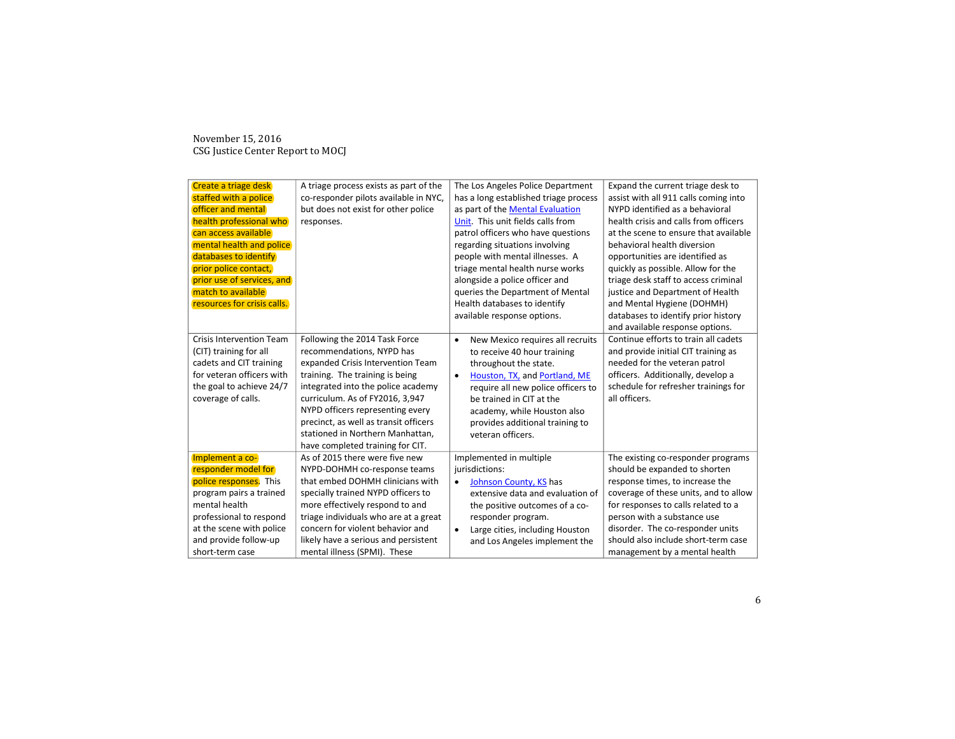| Create a triage desk            | A triage process exists as part of the | The Los Angeles Police Department             | Expand the current triage desk to     |
|---------------------------------|----------------------------------------|-----------------------------------------------|---------------------------------------|
| staffed with a police           | co-responder pilots available in NYC,  | has a long established triage process         | assist with all 911 calls coming into |
| officer and mental              | but does not exist for other police    | as part of the Mental Evaluation              | NYPD identified as a behavioral       |
| health professional who         | responses.                             | Unit. This unit fields calls from             | health crisis and calls from officers |
| can access available            |                                        | patrol officers who have questions            | at the scene to ensure that available |
| mental health and police        |                                        | regarding situations involving                | behavioral health diversion           |
| databases to identify           |                                        | people with mental illnesses. A               | opportunities are identified as       |
| prior police contact,           |                                        | triage mental health nurse works              | quickly as possible. Allow for the    |
| prior use of services, and      |                                        | alongside a police officer and                | triage desk staff to access criminal  |
| match to available              |                                        | queries the Department of Mental              | justice and Department of Health      |
| resources for crisis calls.     |                                        | Health databases to identify                  | and Mental Hygiene (DOHMH)            |
|                                 |                                        | available response options.                   | databases to identify prior history   |
|                                 |                                        |                                               | and available response options.       |
| <b>Crisis Intervention Team</b> | Following the 2014 Task Force          | New Mexico requires all recruits<br>$\bullet$ | Continue efforts to train all cadets  |
| (CIT) training for all          | recommendations, NYPD has              | to receive 40 hour training                   | and provide initial CIT training as   |
| cadets and CIT training         | expanded Crisis Intervention Team      | throughout the state.                         | needed for the veteran patrol         |
| for veteran officers with       | training. The training is being        | Houston, TX, and Portland, ME<br>$\bullet$    | officers. Additionally, develop a     |
| the goal to achieve 24/7        | integrated into the police academy     | require all new police officers to            | schedule for refresher trainings for  |
| coverage of calls.              | curriculum. As of FY2016, 3,947        | be trained in CIT at the                      | all officers.                         |
|                                 | NYPD officers representing every       | academy, while Houston also                   |                                       |
|                                 | precinct, as well as transit officers  | provides additional training to               |                                       |
|                                 | stationed in Northern Manhattan,       | veteran officers.                             |                                       |
|                                 | have completed training for CIT.       |                                               |                                       |
| Implement a co-                 | As of 2015 there were five new         | Implemented in multiple                       | The existing co-responder programs    |
| responder model for             | NYPD-DOHMH co-response teams           | jurisdictions:                                | should be expanded to shorten         |
| police responses. This          | that embed DOHMH clinicians with       | Johnson County, KS has<br>$\bullet$           | response times, to increase the       |
| program pairs a trained         | specially trained NYPD officers to     | extensive data and evaluation of              | coverage of these units, and to allow |
| mental health                   | more effectively respond to and        | the positive outcomes of a co-                | for responses to calls related to a   |
| professional to respond         | triage individuals who are at a great  | responder program.                            | person with a substance use           |
| at the scene with police        | concern for violent behavior and       | Large cities, including Houston<br>$\bullet$  | disorder. The co-responder units      |
| and provide follow-up           | likely have a serious and persistent   | and Los Angeles implement the                 | should also include short-term case   |
| short-term case                 | mental illness (SPMI). These           |                                               | management by a mental health         |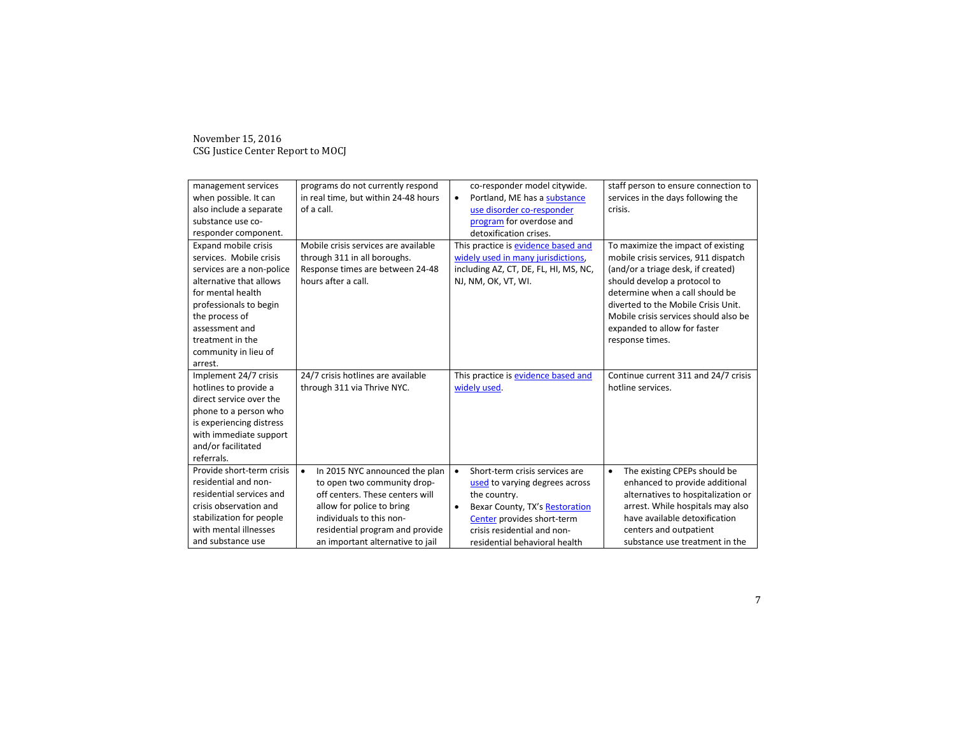| management services<br>when possible. It can<br>also include a separate<br>substance use co-<br>responder component.<br><b>Expand mobile crisis</b><br>services. Mobile crisis<br>services are a non-police<br>alternative that allows<br>for mental health<br>professionals to begin<br>the process of<br>assessment and<br>treatment in the | programs do not currently respond<br>in real time, but within 24-48 hours<br>of a call.<br>Mobile crisis services are available<br>through 311 in all boroughs.<br>Response times are between 24-48<br>hours after a call.                    | co-responder model citywide.<br>Portland, ME has a substance<br>$\bullet$<br>use disorder co-responder<br>program for overdose and<br>detoxification crises.<br>This practice is evidence based and<br>widely used in many jurisdictions,<br>including AZ, CT, DE, FL, HI, MS, NC,<br>NJ, NM, OK, VT, WI. | staff person to ensure connection to<br>services in the days following the<br>crisis.<br>To maximize the impact of existing<br>mobile crisis services, 911 dispatch<br>(and/or a triage desk, if created)<br>should develop a protocol to<br>determine when a call should be<br>diverted to the Mobile Crisis Unit.<br>Mobile crisis services should also be<br>expanded to allow for faster<br>response times. |
|-----------------------------------------------------------------------------------------------------------------------------------------------------------------------------------------------------------------------------------------------------------------------------------------------------------------------------------------------|-----------------------------------------------------------------------------------------------------------------------------------------------------------------------------------------------------------------------------------------------|-----------------------------------------------------------------------------------------------------------------------------------------------------------------------------------------------------------------------------------------------------------------------------------------------------------|-----------------------------------------------------------------------------------------------------------------------------------------------------------------------------------------------------------------------------------------------------------------------------------------------------------------------------------------------------------------------------------------------------------------|
| community in lieu of<br>arrest.                                                                                                                                                                                                                                                                                                               |                                                                                                                                                                                                                                               |                                                                                                                                                                                                                                                                                                           |                                                                                                                                                                                                                                                                                                                                                                                                                 |
| Implement 24/7 crisis<br>hotlines to provide a<br>direct service over the<br>phone to a person who<br>is experiencing distress<br>with immediate support<br>and/or facilitated<br>referrals.                                                                                                                                                  | 24/7 crisis hotlines are available<br>through 311 via Thrive NYC.                                                                                                                                                                             | This practice is evidence based and<br>widely used.                                                                                                                                                                                                                                                       | Continue current 311 and 24/7 crisis<br>hotline services.                                                                                                                                                                                                                                                                                                                                                       |
| Provide short-term crisis<br>residential and non-<br>residential services and<br>crisis observation and<br>stabilization for people<br>with mental illnesses<br>and substance use                                                                                                                                                             | In 2015 NYC announced the plan<br>$\bullet$<br>to open two community drop-<br>off centers. These centers will<br>allow for police to bring<br>individuals to this non-<br>residential program and provide<br>an important alternative to jail | Short-term crisis services are<br>$\bullet$<br>used to varying degrees across<br>the country.<br>Bexar County, TX's Restoration<br>$\bullet$<br>Center provides short-term<br>crisis residential and non-<br>residential behavioral health                                                                | The existing CPEPs should be<br>$\bullet$<br>enhanced to provide additional<br>alternatives to hospitalization or<br>arrest. While hospitals may also<br>have available detoxification<br>centers and outpatient<br>substance use treatment in the                                                                                                                                                              |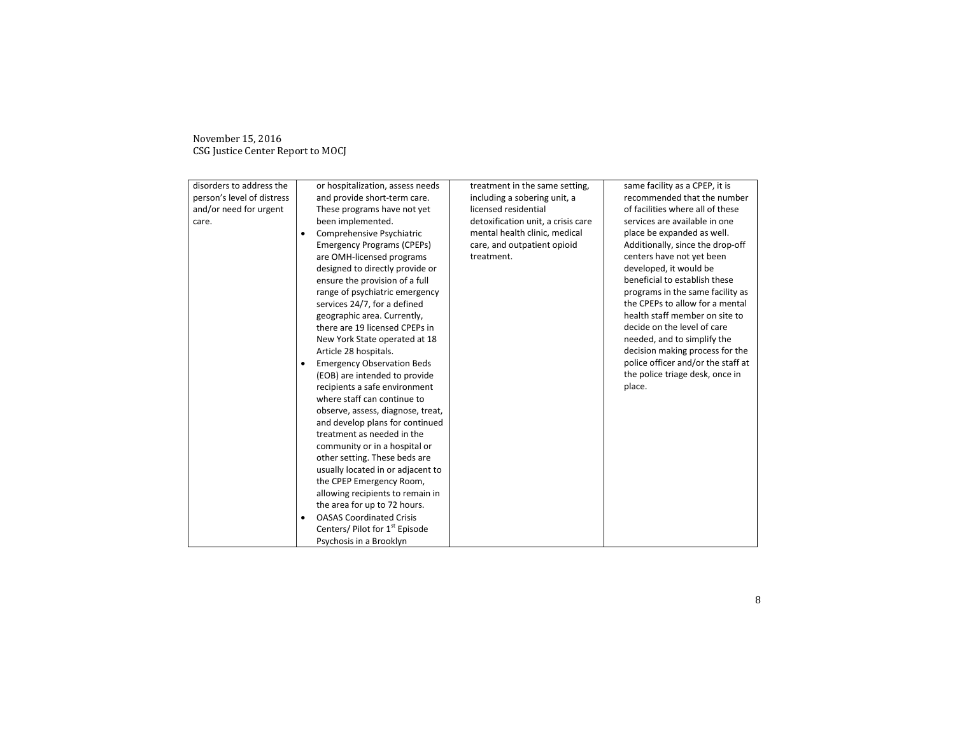| disorders to address the   |   | or hospitalization, assess needs           | treatment in the same setting,     | same facility as a CPEP, it is     |
|----------------------------|---|--------------------------------------------|------------------------------------|------------------------------------|
| person's level of distress |   | and provide short-term care.               | including a sobering unit, a       | recommended that the number        |
| and/or need for urgent     |   | These programs have not yet                | licensed residential               | of facilities where all of these   |
| care.                      |   | been implemented.                          | detoxification unit, a crisis care | services are available in one      |
|                            | ٠ | Comprehensive Psychiatric                  | mental health clinic, medical      | place be expanded as well.         |
|                            |   | <b>Emergency Programs (CPEPs)</b>          | care, and outpatient opioid        | Additionally, since the drop-off   |
|                            |   | are OMH-licensed programs                  | treatment.                         | centers have not yet been          |
|                            |   | designed to directly provide or            |                                    | developed, it would be             |
|                            |   | ensure the provision of a full             |                                    | beneficial to establish these      |
|                            |   | range of psychiatric emergency             |                                    | programs in the same facility as   |
|                            |   | services 24/7, for a defined               |                                    | the CPEPs to allow for a mental    |
|                            |   | geographic area. Currently,                |                                    | health staff member on site to     |
|                            |   | there are 19 licensed CPEPs in             |                                    | decide on the level of care        |
|                            |   | New York State operated at 18              |                                    | needed, and to simplify the        |
|                            |   | Article 28 hospitals.                      |                                    | decision making process for the    |
|                            | ٠ | <b>Emergency Observation Beds</b>          |                                    | police officer and/or the staff at |
|                            |   | (EOB) are intended to provide              |                                    | the police triage desk, once in    |
|                            |   | recipients a safe environment              |                                    | place.                             |
|                            |   | where staff can continue to                |                                    |                                    |
|                            |   | observe, assess, diagnose, treat,          |                                    |                                    |
|                            |   | and develop plans for continued            |                                    |                                    |
|                            |   | treatment as needed in the                 |                                    |                                    |
|                            |   | community or in a hospital or              |                                    |                                    |
|                            |   | other setting. These beds are              |                                    |                                    |
|                            |   | usually located in or adjacent to          |                                    |                                    |
|                            |   | the CPEP Emergency Room,                   |                                    |                                    |
|                            |   | allowing recipients to remain in           |                                    |                                    |
|                            |   | the area for up to 72 hours.               |                                    |                                    |
|                            |   | <b>OASAS Coordinated Crisis</b>            |                                    |                                    |
|                            |   | Centers/ Pilot for 1 <sup>st</sup> Episode |                                    |                                    |
|                            |   | Psychosis in a Brooklyn                    |                                    |                                    |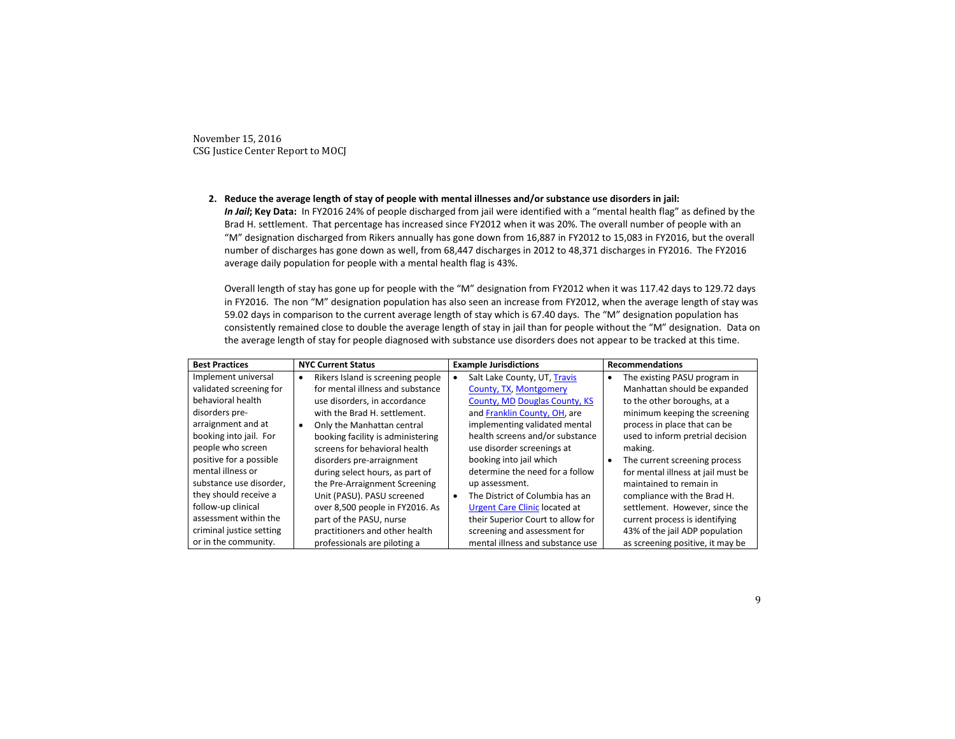**2. Reduce the average length of stay of people with mental illnesses and/or substance use disorders in jail:**  *In Jail***; Key Data:** In FY2016 24% of people discharged from jail were identified with a "mental health flag" as defined by the Brad H. settlement. That percentage has increased since FY2012 when it was 20%. The overall number of people with an

"M" designation discharged from Rikers annually has gone down from 16,887 in FY2012 to 15,083 in FY2016, but the overall number of discharges has gone down as well, from 68,447 discharges in 2012 to 48,371 discharges in FY2016. The FY2016 average daily population for people with a mental health flag is 43%.

Overall length of stay has gone up for people with the "M" designation from FY2012 when it was 117.42 days to 129.72 days in FY2016. The non "M" designation population has also seen an increase from FY2012, when the average length of stay was 59.02 days in comparison to the current average length of stay which is 67.40 days. The "M" designation population has consistently remained close to double the average length of stay in jail than for people without the "M" designation. Data on the average length of stay for people diagnosed with substance use disorders does not appear to be tracked at this time.

| <b>Best Practices</b>    |   | <b>NYC Current Status</b>         |           | <b>Example Jurisdictions</b>         |           | <b>Recommendations</b>             |  |  |
|--------------------------|---|-----------------------------------|-----------|--------------------------------------|-----------|------------------------------------|--|--|
| Implement universal      | ٠ | Rikers Island is screening people |           | Salt Lake County, UT, Travis         | $\bullet$ | The existing PASU program in       |  |  |
| validated screening for  |   | for mental illness and substance  |           | County, TX, Montgomery               |           | Manhattan should be expanded       |  |  |
| behavioral health        |   | use disorders, in accordance      |           | County, MD Douglas County, KS        |           | to the other boroughs, at a        |  |  |
| disorders pre-           |   | with the Brad H. settlement.      |           | and Franklin County, OH, are         |           | minimum keeping the screening      |  |  |
| arraignment and at       |   | Only the Manhattan central        |           | implementing validated mental        |           | process in place that can be       |  |  |
| booking into jail. For   |   | booking facility is administering |           | health screens and/or substance      |           | used to inform pretrial decision   |  |  |
| people who screen        |   | screens for behavioral health     |           | use disorder screenings at           |           | making.                            |  |  |
| positive for a possible  |   | disorders pre-arraignment         |           | booking into jail which              | $\bullet$ | The current screening process      |  |  |
| mental illness or        |   | during select hours, as part of   |           | determine the need for a follow      |           | for mental illness at jail must be |  |  |
| substance use disorder,  |   | the Pre-Arraignment Screening     |           | up assessment.                       |           | maintained to remain in            |  |  |
| they should receive a    |   | Unit (PASU). PASU screened        | $\bullet$ | The District of Columbia has an      |           | compliance with the Brad H.        |  |  |
| follow-up clinical       |   | over 8,500 people in FY2016. As   |           | <b>Urgent Care Clinic located at</b> |           | settlement. However, since the     |  |  |
| assessment within the    |   | part of the PASU, nurse           |           | their Superior Court to allow for    |           | current process is identifying     |  |  |
| criminal justice setting |   | practitioners and other health    |           | screening and assessment for         |           | 43% of the jail ADP population     |  |  |
| or in the community.     |   | professionals are piloting a      |           | mental illness and substance use     |           | as screening positive, it may be   |  |  |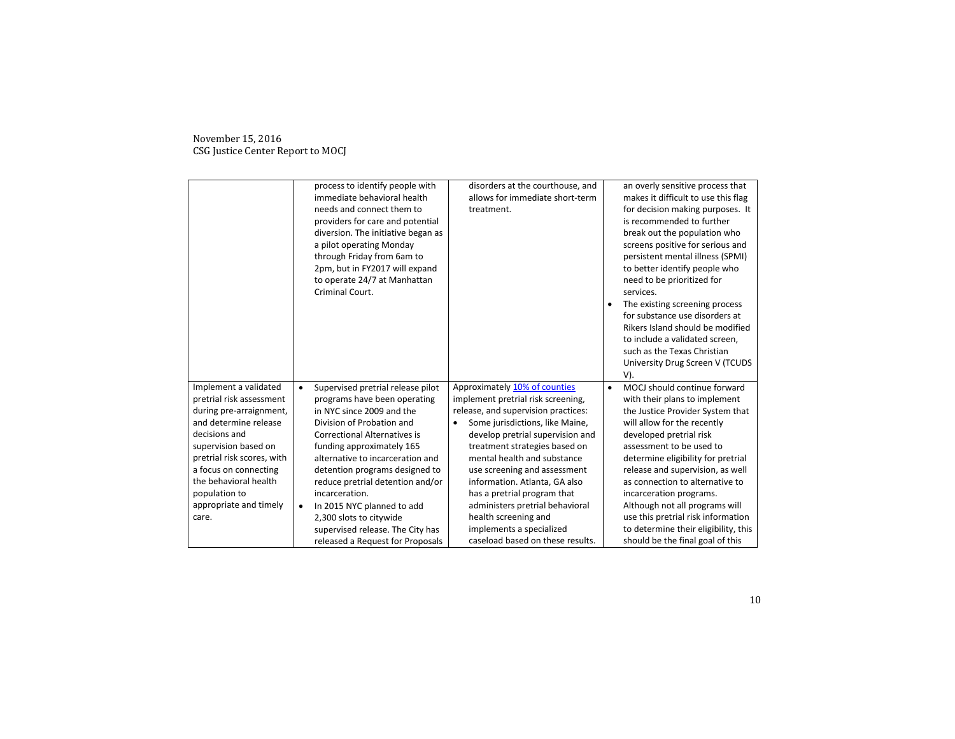|                                                   |           | process to identify people with<br>immediate behavioral health<br>needs and connect them to<br>providers for care and potential<br>diversion. The initiative began as<br>a pilot operating Monday<br>through Friday from 6am to<br>2pm, but in FY2017 will expand<br>to operate 24/7 at Manhattan<br>Criminal Court. | disorders at the courthouse, and<br>allows for immediate short-term<br>treatment. | $\bullet$ | an overly sensitive process that<br>makes it difficult to use this flag<br>for decision making purposes. It<br>is recommended to further<br>break out the population who<br>screens positive for serious and<br>persistent mental illness (SPMI)<br>to better identify people who<br>need to be prioritized for<br>services.<br>The existing screening process<br>for substance use disorders at<br>Rikers Island should be modified<br>to include a validated screen,<br>such as the Texas Christian<br>University Drug Screen V (TCUDS<br>V). |
|---------------------------------------------------|-----------|----------------------------------------------------------------------------------------------------------------------------------------------------------------------------------------------------------------------------------------------------------------------------------------------------------------------|-----------------------------------------------------------------------------------|-----------|-------------------------------------------------------------------------------------------------------------------------------------------------------------------------------------------------------------------------------------------------------------------------------------------------------------------------------------------------------------------------------------------------------------------------------------------------------------------------------------------------------------------------------------------------|
| Implement a validated<br>pretrial risk assessment | $\bullet$ | Supervised pretrial release pilot<br>programs have been operating                                                                                                                                                                                                                                                    | Approximately 10% of counties<br>implement pretrial risk screening,               | $\bullet$ | MOCJ should continue forward<br>with their plans to implement                                                                                                                                                                                                                                                                                                                                                                                                                                                                                   |
| during pre-arraignment,                           |           | in NYC since 2009 and the                                                                                                                                                                                                                                                                                            | release, and supervision practices:                                               |           | the Justice Provider System that                                                                                                                                                                                                                                                                                                                                                                                                                                                                                                                |
| and determine release                             |           | Division of Probation and                                                                                                                                                                                                                                                                                            | Some jurisdictions, like Maine,                                                   |           | will allow for the recently                                                                                                                                                                                                                                                                                                                                                                                                                                                                                                                     |
| decisions and                                     |           | <b>Correctional Alternatives is</b>                                                                                                                                                                                                                                                                                  | develop pretrial supervision and                                                  |           | developed pretrial risk                                                                                                                                                                                                                                                                                                                                                                                                                                                                                                                         |
| supervision based on                              |           | funding approximately 165                                                                                                                                                                                                                                                                                            | treatment strategies based on                                                     |           | assessment to be used to                                                                                                                                                                                                                                                                                                                                                                                                                                                                                                                        |
| pretrial risk scores, with                        |           | alternative to incarceration and                                                                                                                                                                                                                                                                                     | mental health and substance                                                       |           | determine eligibility for pretrial                                                                                                                                                                                                                                                                                                                                                                                                                                                                                                              |
| a focus on connecting                             |           | detention programs designed to                                                                                                                                                                                                                                                                                       | use screening and assessment                                                      |           | release and supervision, as well                                                                                                                                                                                                                                                                                                                                                                                                                                                                                                                |
| the behavioral health                             |           | reduce pretrial detention and/or                                                                                                                                                                                                                                                                                     | information. Atlanta, GA also                                                     |           | as connection to alternative to                                                                                                                                                                                                                                                                                                                                                                                                                                                                                                                 |
| population to                                     |           | incarceration.                                                                                                                                                                                                                                                                                                       | has a pretrial program that                                                       |           | incarceration programs.                                                                                                                                                                                                                                                                                                                                                                                                                                                                                                                         |
| appropriate and timely                            | $\bullet$ | In 2015 NYC planned to add                                                                                                                                                                                                                                                                                           | administers pretrial behavioral                                                   |           | Although not all programs will                                                                                                                                                                                                                                                                                                                                                                                                                                                                                                                  |
| care.                                             |           | 2,300 slots to citywide                                                                                                                                                                                                                                                                                              | health screening and                                                              |           | use this pretrial risk information                                                                                                                                                                                                                                                                                                                                                                                                                                                                                                              |
|                                                   |           | supervised release. The City has                                                                                                                                                                                                                                                                                     | implements a specialized                                                          |           | to determine their eligibility, this                                                                                                                                                                                                                                                                                                                                                                                                                                                                                                            |
|                                                   |           | released a Request for Proposals                                                                                                                                                                                                                                                                                     | caseload based on these results.                                                  |           | should be the final goal of this                                                                                                                                                                                                                                                                                                                                                                                                                                                                                                                |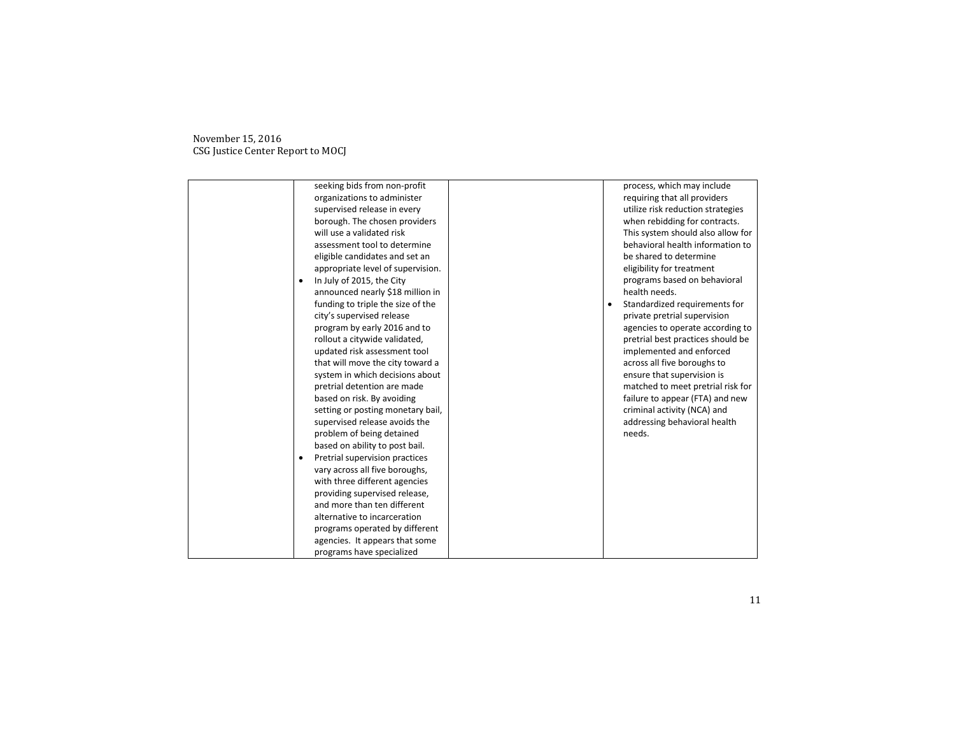| seeking bids from non-profit                | process, which may include        |
|---------------------------------------------|-----------------------------------|
| organizations to administer                 | requiring that all providers      |
| supervised release in every                 | utilize risk reduction strategies |
| borough. The chosen providers               | when rebidding for contracts.     |
| will use a validated risk                   | This system should also allow for |
| assessment tool to determine                | behavioral health information to  |
| eligible candidates and set an              | be shared to determine            |
| appropriate level of supervision.           | eligibility for treatment         |
| In July of 2015, the City                   | programs based on behavioral      |
| announced nearly \$18 million in            | health needs.                     |
| funding to triple the size of the           | Standardized requirements for     |
| city's supervised release                   | private pretrial supervision      |
| program by early 2016 and to                | agencies to operate according to  |
| rollout a citywide validated,               | pretrial best practices should be |
| updated risk assessment tool                | implemented and enforced          |
| that will move the city toward a            | across all five boroughs to       |
| system in which decisions about             | ensure that supervision is        |
| pretrial detention are made                 | matched to meet pretrial risk for |
| based on risk. By avoiding                  | failure to appear (FTA) and new   |
| setting or posting monetary bail,           | criminal activity (NCA) and       |
| supervised release avoids the               | addressing behavioral health      |
| problem of being detained                   | needs.                            |
| based on ability to post bail.              |                                   |
| Pretrial supervision practices<br>$\bullet$ |                                   |
| vary across all five boroughs,              |                                   |
| with three different agencies               |                                   |
| providing supervised release,               |                                   |
| and more than ten different                 |                                   |
| alternative to incarceration                |                                   |
| programs operated by different              |                                   |
| agencies. It appears that some              |                                   |
| programs have specialized                   |                                   |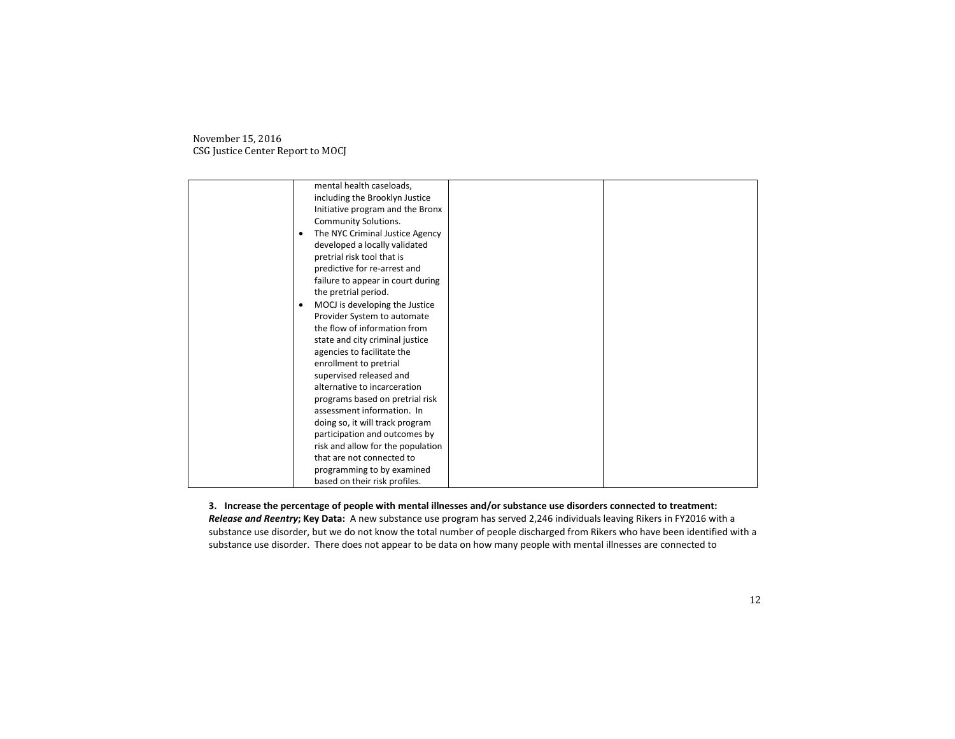| mental health caseloads,          |  |
|-----------------------------------|--|
| including the Brooklyn Justice    |  |
| Initiative program and the Bronx  |  |
| <b>Community Solutions.</b>       |  |
| The NYC Criminal Justice Agency   |  |
| developed a locally validated     |  |
| pretrial risk tool that is        |  |
| predictive for re-arrest and      |  |
| failure to appear in court during |  |
| the pretrial period.              |  |
| MOCJ is developing the Justice    |  |
| Provider System to automate       |  |
| the flow of information from      |  |
| state and city criminal justice   |  |
| agencies to facilitate the        |  |
| enrollment to pretrial            |  |
| supervised released and           |  |
| alternative to incarceration      |  |
| programs based on pretrial risk   |  |
| assessment information. In        |  |
| doing so, it will track program   |  |
| participation and outcomes by     |  |
| risk and allow for the population |  |
| that are not connected to         |  |
| programming to by examined        |  |
| based on their risk profiles.     |  |

**3. Increase the percentage of people with mental illnesses and/or substance use disorders connected to treatment:** *Release and Reentry***; Key Data:** A new substance use program has served 2,246 individuals leaving Rikers in FY2016 with a substance use disorder, but we do not know the total number of people discharged from Rikers who have been identified with a substance use disorder. There does not appear to be data on how many people with mental illnesses are connected to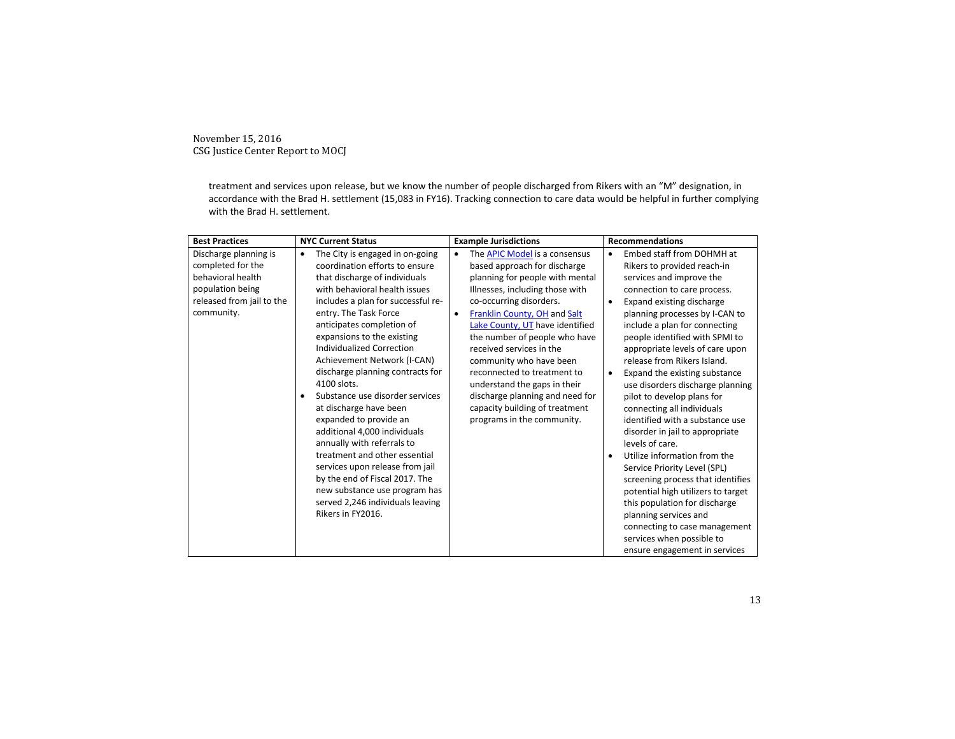> treatment and services upon release, but we know the number of people discharged from Rikers with an "M" designation, in accordance with the Brad H. settlement (15,083 in FY16). Tracking connection to care data would be helpful in further complying with the Brad H. settlement.

| <b>Best Practices</b>     | <b>NYC Current Status</b>                             | <b>Example Jurisdictions</b>               | <b>Recommendations</b>                                     |  |
|---------------------------|-------------------------------------------------------|--------------------------------------------|------------------------------------------------------------|--|
| Discharge planning is     | The City is engaged in on-going<br>٠                  | The APIC Model is a consensus<br>$\bullet$ | Embed staff from DOHMH at<br>$\bullet$                     |  |
| completed for the         | coordination efforts to ensure                        | based approach for discharge               | Rikers to provided reach-in                                |  |
| behavioral health         | that discharge of individuals                         | planning for people with mental            | services and improve the                                   |  |
| population being          | with behavioral health issues                         | Illnesses, including those with            | connection to care process.                                |  |
| released from jail to the | includes a plan for successful re-                    | co-occurring disorders.                    | Expand existing discharge<br>$\bullet$                     |  |
| community.                | entry. The Task Force                                 | Franklin County, OH and Salt<br>٠          | planning processes by I-CAN to                             |  |
|                           | anticipates completion of                             | Lake County, UT have identified            | include a plan for connecting                              |  |
|                           | expansions to the existing                            | the number of people who have              | people identified with SPMI to                             |  |
|                           | <b>Individualized Correction</b>                      | received services in the                   | appropriate levels of care upon                            |  |
|                           | Achievement Network (I-CAN)                           | community who have been                    | release from Rikers Island.                                |  |
|                           | discharge planning contracts for                      | reconnected to treatment to                | Expand the existing substance<br>$\bullet$                 |  |
|                           | 4100 slots.                                           | understand the gaps in their               | use disorders discharge planning                           |  |
|                           | Substance use disorder services                       | discharge planning and need for            | pilot to develop plans for                                 |  |
|                           | at discharge have been                                | capacity building of treatment             | connecting all individuals                                 |  |
|                           | expanded to provide an                                | programs in the community.                 | identified with a substance use                            |  |
|                           | additional 4,000 individuals                          |                                            | disorder in jail to appropriate                            |  |
|                           | annually with referrals to                            |                                            | levels of care.                                            |  |
|                           | treatment and other essential                         |                                            | Utilize information from the<br>$\bullet$                  |  |
|                           | services upon release from jail                       |                                            | Service Priority Level (SPL)                               |  |
|                           | by the end of Fiscal 2017. The                        |                                            | screening process that identifies                          |  |
|                           | new substance use program has                         |                                            | potential high utilizers to target                         |  |
|                           | served 2,246 individuals leaving<br>Rikers in FY2016. |                                            | this population for discharge                              |  |
|                           |                                                       |                                            | planning services and                                      |  |
|                           |                                                       |                                            | connecting to case management<br>services when possible to |  |
|                           |                                                       |                                            |                                                            |  |
|                           |                                                       |                                            | ensure engagement in services                              |  |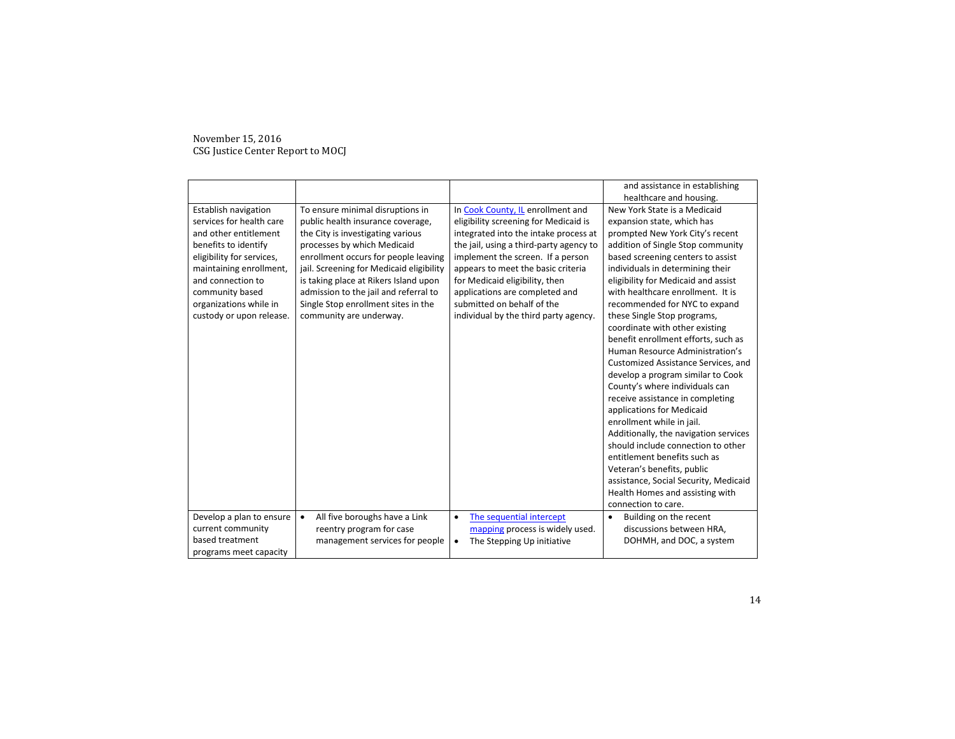|                           |                                            |                                         | and assistance in establishing        |
|---------------------------|--------------------------------------------|-----------------------------------------|---------------------------------------|
|                           |                                            |                                         | healthcare and housing.               |
| Establish navigation      | To ensure minimal disruptions in           | In Cook County, IL enrollment and       | New York State is a Medicaid          |
| services for health care  | public health insurance coverage,          | eligibility screening for Medicaid is   | expansion state, which has            |
| and other entitlement     | the City is investigating various          | integrated into the intake process at   | prompted New York City's recent       |
| benefits to identify      | processes by which Medicaid                | the jail, using a third-party agency to | addition of Single Stop community     |
| eligibility for services, | enrollment occurs for people leaving       | implement the screen. If a person       | based screening centers to assist     |
| maintaining enrollment,   | jail. Screening for Medicaid eligibility   | appears to meet the basic criteria      | individuals in determining their      |
| and connection to         | is taking place at Rikers Island upon      | for Medicaid eligibility, then          | eligibility for Medicaid and assist   |
| community based           | admission to the jail and referral to      | applications are completed and          | with healthcare enrollment. It is     |
| organizations while in    | Single Stop enrollment sites in the        | submitted on behalf of the              | recommended for NYC to expand         |
| custody or upon release.  | community are underway.                    | individual by the third party agency.   | these Single Stop programs,           |
|                           |                                            |                                         | coordinate with other existing        |
|                           |                                            |                                         | benefit enrollment efforts, such as   |
|                           |                                            |                                         | Human Resource Administration's       |
|                           |                                            |                                         | Customized Assistance Services, and   |
|                           |                                            |                                         | develop a program similar to Cook     |
|                           |                                            |                                         | County's where individuals can        |
|                           |                                            |                                         | receive assistance in completing      |
|                           |                                            |                                         | applications for Medicaid             |
|                           |                                            |                                         | enrollment while in jail.             |
|                           |                                            |                                         |                                       |
|                           |                                            |                                         | Additionally, the navigation services |
|                           |                                            |                                         | should include connection to other    |
|                           |                                            |                                         | entitlement benefits such as          |
|                           |                                            |                                         | Veteran's benefits, public            |
|                           |                                            |                                         | assistance, Social Security, Medicaid |
|                           |                                            |                                         | Health Homes and assisting with       |
|                           |                                            |                                         | connection to care.                   |
| Develop a plan to ensure  | All five boroughs have a Link<br>$\bullet$ | The sequential intercept<br>$\bullet$   | Building on the recent                |
| current community         | reentry program for case                   | mapping process is widely used.         | discussions between HRA,              |
| based treatment           | management services for people             | The Stepping Up initiative              | DOHMH, and DOC, a system              |
| programs meet capacity    |                                            |                                         |                                       |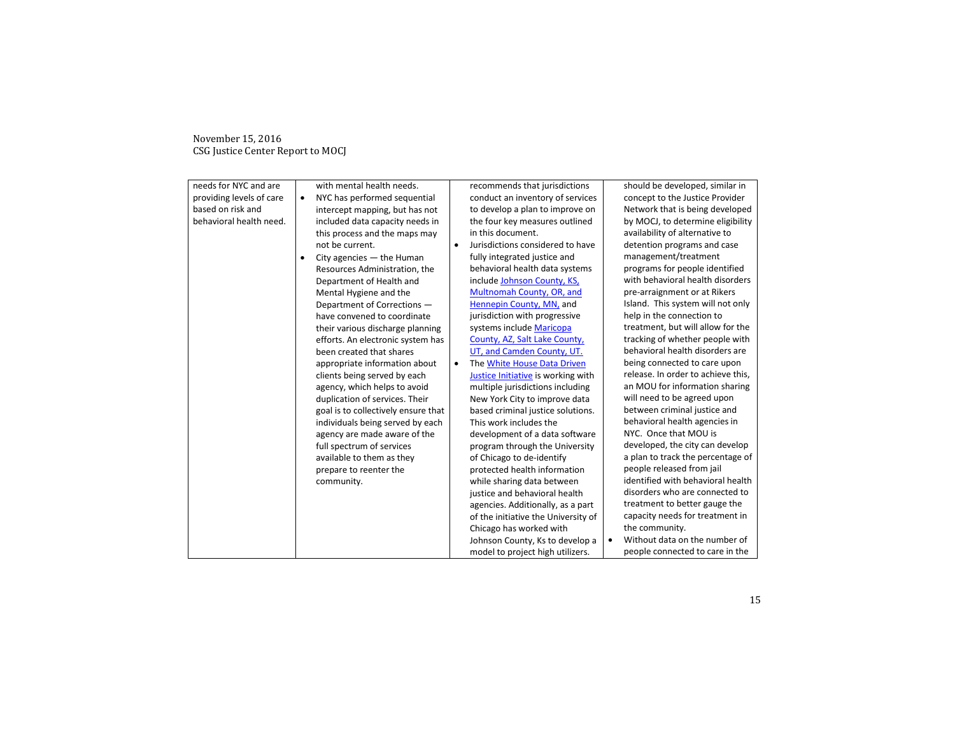| needs for NYC and are    |   | with mental health needs.           |           | recommends that jurisdictions       | should be developed, similar in    |  |
|--------------------------|---|-------------------------------------|-----------|-------------------------------------|------------------------------------|--|
| providing levels of care | ٠ | NYC has performed sequential        |           | conduct an inventory of services    | concept to the Justice Provider    |  |
| based on risk and        |   | intercept mapping, but has not      |           | to develop a plan to improve on     | Network that is being developed    |  |
| behavioral health need.  |   | included data capacity needs in     |           | the four key measures outlined      | by MOCJ, to determine eligibility  |  |
|                          |   | this process and the maps may       |           | in this document.                   | availability of alternative to     |  |
|                          |   | not be current.                     | $\bullet$ | Jurisdictions considered to have    | detention programs and case        |  |
|                          |   | City agencies $-$ the Human         |           | fully integrated justice and        | management/treatment               |  |
|                          |   | Resources Administration, the       |           | behavioral health data systems      | programs for people identified     |  |
|                          |   | Department of Health and            |           | include Johnson County, KS,         | with behavioral health disorders   |  |
|                          |   | Mental Hygiene and the              |           | Multnomah County, OR, and           | pre-arraignment or at Rikers       |  |
|                          |   | Department of Corrections -         |           | Hennepin County, MN, and            | Island. This system will not only  |  |
|                          |   | have convened to coordinate         |           | jurisdiction with progressive       | help in the connection to          |  |
|                          |   | their various discharge planning    |           | systems include Maricopa            | treatment, but will allow for the  |  |
|                          |   | efforts. An electronic system has   |           | County, AZ, Salt Lake County,       | tracking of whether people with    |  |
|                          |   | been created that shares            |           | UT, and Camden County, UT.          | behavioral health disorders are    |  |
|                          |   | appropriate information about       | ٠         | The White House Data Driven         | being connected to care upon       |  |
|                          |   | clients being served by each        |           | Justice Initiative is working with  | release. In order to achieve this, |  |
|                          |   | agency, which helps to avoid        |           | multiple jurisdictions including    | an MOU for information sharing     |  |
|                          |   | duplication of services. Their      |           | New York City to improve data       | will need to be agreed upon        |  |
|                          |   | goal is to collectively ensure that |           | based criminal justice solutions.   | between criminal justice and       |  |
|                          |   | individuals being served by each    |           | This work includes the              | behavioral health agencies in      |  |
|                          |   | agency are made aware of the        |           | development of a data software      | NYC. Once that MOU is              |  |
|                          |   | full spectrum of services           |           | program through the University      | developed, the city can develop    |  |
|                          |   | available to them as they           |           | of Chicago to de-identify           | a plan to track the percentage of  |  |
|                          |   | prepare to reenter the              |           | protected health information        | people released from jail          |  |
|                          |   | community.                          |           | while sharing data between          | identified with behavioral health  |  |
|                          |   |                                     |           | justice and behavioral health       | disorders who are connected to     |  |
|                          |   |                                     |           | agencies. Additionally, as a part   | treatment to better gauge the      |  |
|                          |   |                                     |           | of the initiative the University of | capacity needs for treatment in    |  |
|                          |   |                                     |           | Chicago has worked with             | the community.                     |  |
|                          |   |                                     |           | Johnson County, Ks to develop a     | Without data on the number of      |  |
|                          |   |                                     |           | model to project high utilizers.    | people connected to care in the    |  |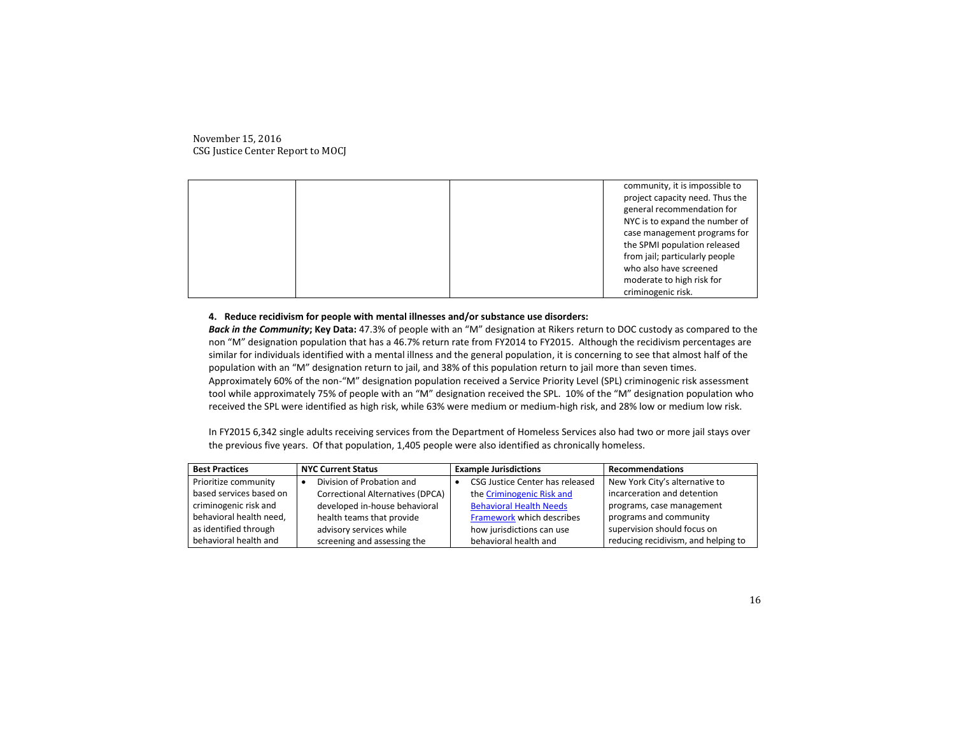|  | community, it is impossible to  |
|--|---------------------------------|
|  | project capacity need. Thus the |
|  | general recommendation for      |
|  | NYC is to expand the number of  |
|  | case management programs for    |
|  | the SPMI population released    |
|  |                                 |
|  | from jail; particularly people  |
|  | who also have screened          |
|  | moderate to high risk for       |
|  |                                 |
|  | criminogenic risk.              |

## **4. Reduce recidivism for people with mental illnesses and/or substance use disorders:**

*Back in the Community***; Key Data:** 47.3% of people with an "M" designation at Rikers return to DOC custody as compared to the non "M" designation population that has a 46.7% return rate from FY2014 to FY2015. Although the recidivism percentages are similar for individuals identified with a mental illness and the general population, it is concerning to see that almost half of the population with an "M" designation return to jail, and 38% of this population return to jail more than seven times. Approximately 60% of the non-"M" designation population received a Service Priority Level (SPL) criminogenic risk assessment tool while approximately 75% of people with an "M" designation received the SPL. 10% of the "M" designation population who received the SPL were identified as high risk, while 63% were medium or medium-high risk, and 28% low or medium low risk.

In FY2015 6,342 single adults receiving services from the Department of Homeless Services also had two or more jail stays over the previous five years. Of that population, 1,405 people were also identified as chronically homeless.

| <b>Best Practices</b>   | <b>NYC Current Status</b>        | <b>Example Jurisdictions</b>    | <b>Recommendations</b>              |
|-------------------------|----------------------------------|---------------------------------|-------------------------------------|
| Prioritize community    | Division of Probation and        | CSG Justice Center has released | New York City's alternative to      |
| based services based on | Correctional Alternatives (DPCA) | the Criminogenic Risk and       | incarceration and detention         |
| criminogenic risk and   | developed in-house behavioral    | <b>Behavioral Health Needs</b>  | programs, case management           |
| behavioral health need, | health teams that provide        | Framework which describes       | programs and community              |
| as identified through   | advisory services while          | how jurisdictions can use       | supervision should focus on         |
| behavioral health and   | screening and assessing the      | behavioral health and           | reducing recidivism, and helping to |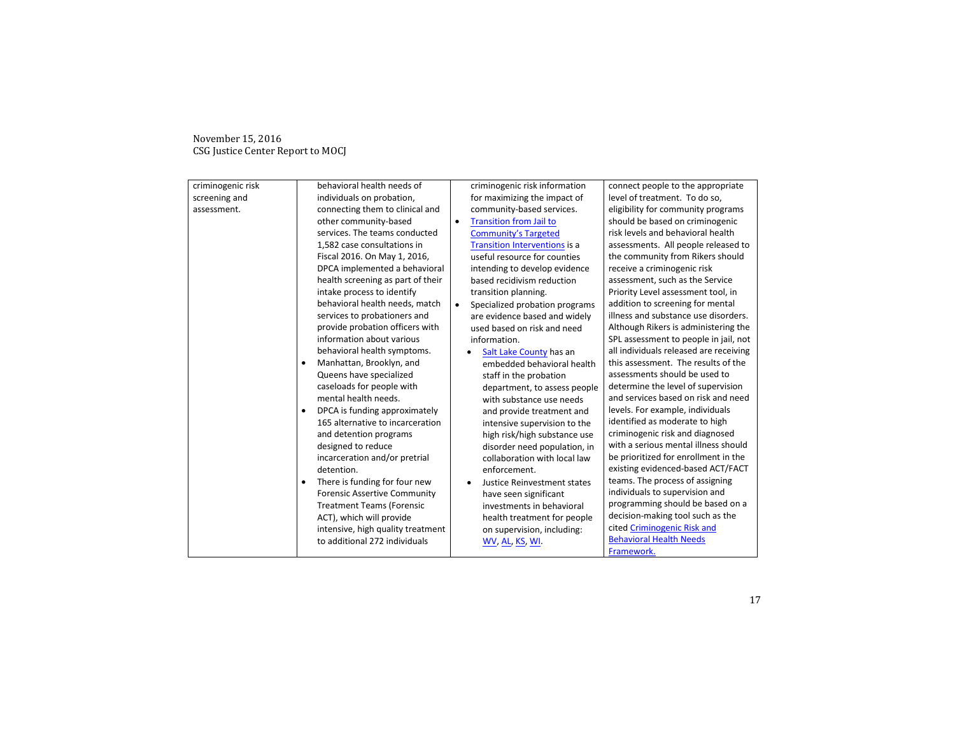| criminogenic risk | behavioral health needs of                 | criminogenic risk information               | connect people to the appropriate      |
|-------------------|--------------------------------------------|---------------------------------------------|----------------------------------------|
| screening and     | individuals on probation,                  | for maximizing the impact of                | level of treatment. To do so,          |
| assessment.       | connecting them to clinical and            | community-based services.                   | eligibility for community programs     |
|                   | other community-based                      | <b>Transition from Jail to</b><br>$\bullet$ | should be based on criminogenic        |
|                   | services. The teams conducted              | <b>Community's Targeted</b>                 | risk levels and behavioral health      |
|                   | 1,582 case consultations in                | <b>Transition Interventions is a</b>        | assessments. All people released to    |
|                   | Fiscal 2016. On May 1, 2016,               | useful resource for counties                | the community from Rikers should       |
|                   | DPCA implemented a behavioral              | intending to develop evidence               | receive a criminogenic risk            |
|                   | health screening as part of their          | based recidivism reduction                  | assessment, such as the Service        |
|                   | intake process to identify                 | transition planning.                        | Priority Level assessment tool, in     |
|                   | behavioral health needs, match             | Specialized probation programs<br>$\bullet$ | addition to screening for mental       |
|                   | services to probationers and               | are evidence based and widely               | illness and substance use disorders.   |
|                   | provide probation officers with            | used based on risk and need                 | Although Rikers is administering the   |
|                   | information about various                  | information.                                | SPL assessment to people in jail, not  |
|                   | behavioral health symptoms.                | Salt Lake County has an                     | all individuals released are receiving |
|                   | Manhattan, Brooklyn, and<br>٠              | embedded behavioral health                  | this assessment. The results of the    |
|                   | Queens have specialized                    | staff in the probation                      | assessments should be used to          |
|                   | caseloads for people with                  | department, to assess people                | determine the level of supervision     |
|                   | mental health needs.                       | with substance use needs                    | and services based on risk and need    |
|                   | DPCA is funding approximately<br>$\bullet$ | and provide treatment and                   | levels. For example, individuals       |
|                   | 165 alternative to incarceration           | intensive supervision to the                | identified as moderate to high         |
|                   | and detention programs                     | high risk/high substance use                | criminogenic risk and diagnosed        |
|                   | designed to reduce                         | disorder need population, in                | with a serious mental illness should   |
|                   | incarceration and/or pretrial              | collaboration with local law                | be prioritized for enrollment in the   |
|                   | detention.                                 | enforcement.                                | existing evidenced-based ACT/FACT      |
|                   | There is funding for four new              | Justice Reinvestment states                 | teams. The process of assigning        |
|                   | <b>Forensic Assertive Community</b>        | have seen significant                       | individuals to supervision and         |
|                   | <b>Treatment Teams (Forensic</b>           | investments in behavioral                   | programming should be based on a       |
|                   | ACT), which will provide                   | health treatment for people                 | decision-making tool such as the       |
|                   | intensive, high quality treatment          | on supervision, including:                  | cited Criminogenic Risk and            |
|                   | to additional 272 individuals              | WV, AL, KS, WI.                             | <b>Behavioral Health Needs</b>         |
|                   |                                            |                                             | Framework.                             |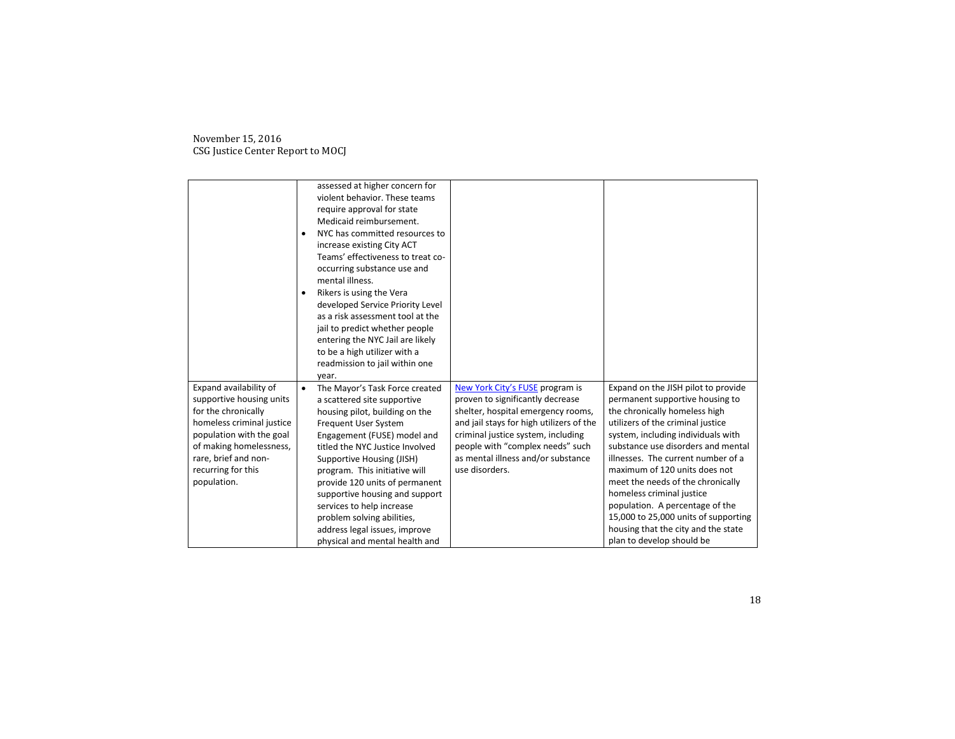|                                                                                                                                                                                                                            | ٠<br>٠    | assessed at higher concern for<br>violent behavior. These teams<br>require approval for state<br>Medicaid reimbursement.<br>NYC has committed resources to<br>increase existing City ACT<br>Teams' effectiveness to treat co-<br>occurring substance use and<br>mental illness.<br>Rikers is using the Vera<br>developed Service Priority Level<br>as a risk assessment tool at the<br>jail to predict whether people<br>entering the NYC Jail are likely<br>to be a high utilizer with a<br>readmission to jail within one<br>year. |                                                                                                                                                                                                                                                                                         |                                                                                                                                                                                                                                                                                                                                      |
|----------------------------------------------------------------------------------------------------------------------------------------------------------------------------------------------------------------------------|-----------|--------------------------------------------------------------------------------------------------------------------------------------------------------------------------------------------------------------------------------------------------------------------------------------------------------------------------------------------------------------------------------------------------------------------------------------------------------------------------------------------------------------------------------------|-----------------------------------------------------------------------------------------------------------------------------------------------------------------------------------------------------------------------------------------------------------------------------------------|--------------------------------------------------------------------------------------------------------------------------------------------------------------------------------------------------------------------------------------------------------------------------------------------------------------------------------------|
| Expand availability of<br>supportive housing units<br>for the chronically<br>homeless criminal justice<br>population with the goal<br>of making homelessness,<br>rare, brief and non-<br>recurring for this<br>population. | $\bullet$ | The Mayor's Task Force created<br>a scattered site supportive<br>housing pilot, building on the<br><b>Frequent User System</b><br>Engagement (FUSE) model and<br>titled the NYC Justice Involved<br>Supportive Housing (JISH)<br>program. This initiative will<br>provide 120 units of permanent                                                                                                                                                                                                                                     | New York City's FUSE program is<br>proven to significantly decrease<br>shelter, hospital emergency rooms,<br>and jail stays for high utilizers of the<br>criminal justice system, including<br>people with "complex needs" such<br>as mental illness and/or substance<br>use disorders. | Expand on the JISH pilot to provide<br>permanent supportive housing to<br>the chronically homeless high<br>utilizers of the criminal justice<br>system, including individuals with<br>substance use disorders and mental<br>illnesses. The current number of a<br>maximum of 120 units does not<br>meet the needs of the chronically |
|                                                                                                                                                                                                                            |           | supportive housing and support<br>services to help increase<br>problem solving abilities,<br>address legal issues, improve<br>physical and mental health and                                                                                                                                                                                                                                                                                                                                                                         |                                                                                                                                                                                                                                                                                         | homeless criminal justice<br>population. A percentage of the<br>15,000 to 25,000 units of supporting<br>housing that the city and the state<br>plan to develop should be                                                                                                                                                             |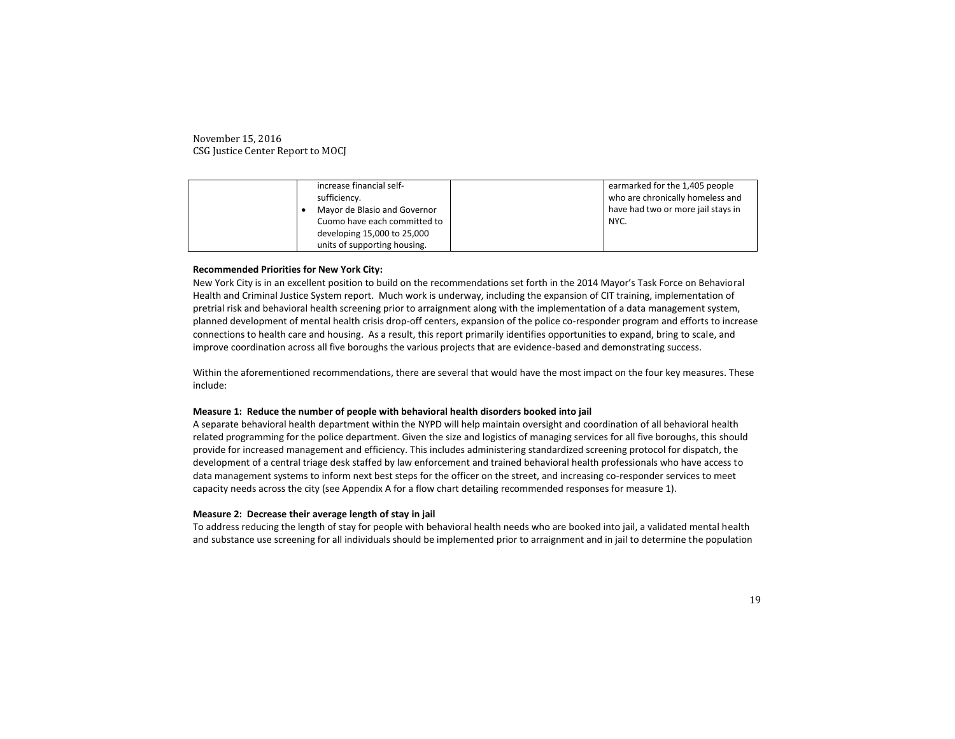| increase financial self-     | earmarked for the 1,405 people     |
|------------------------------|------------------------------------|
| sufficiency.                 | who are chronically homeless and   |
| Mayor de Blasio and Governor | have had two or more jail stays in |
| Cuomo have each committed to | NYC.                               |
| developing 15,000 to 25,000  |                                    |
| units of supporting housing. |                                    |

## **Recommended Priorities for New York City:**

New York City is in an excellent position to build on the recommendations set forth in the 2014 Mayor's Task Force on Behavioral Health and Criminal Justice System report. Much work is underway, including the expansion of CIT training, implementation of pretrial risk and behavioral health screening prior to arraignment along with the implementation of a data management system, planned development of mental health crisis drop-off centers, expansion of the police co-responder program and efforts to increase connections to health care and housing. As a result, this report primarily identifies opportunities to expand, bring to scale, and improve coordination across all five boroughs the various projects that are evidence-based and demonstrating success.

Within the aforementioned recommendations, there are several that would have the most impact on the four key measures. These include:

#### **Measure 1: Reduce the number of people with behavioral health disorders booked into jail**

A separate behavioral health department within the NYPD will help maintain oversight and coordination of all behavioral health related programming for the police department. Given the size and logistics of managing services for all five boroughs, this should provide for increased management and efficiency. This includes administering standardized screening protocol for dispatch, the development of a central triage desk staffed by law enforcement and trained behavioral health professionals who have access to data management systems to inform next best steps for the officer on the street, and increasing co-responder services to meet capacity needs across the city (see Appendix A for a flow chart detailing recommended responses for measure 1).

#### **Measure 2: Decrease their average length of stay in jail**

To address reducing the length of stay for people with behavioral health needs who are booked into jail, a validated mental health and substance use screening for all individuals should be implemented prior to arraignment and in jail to determine the population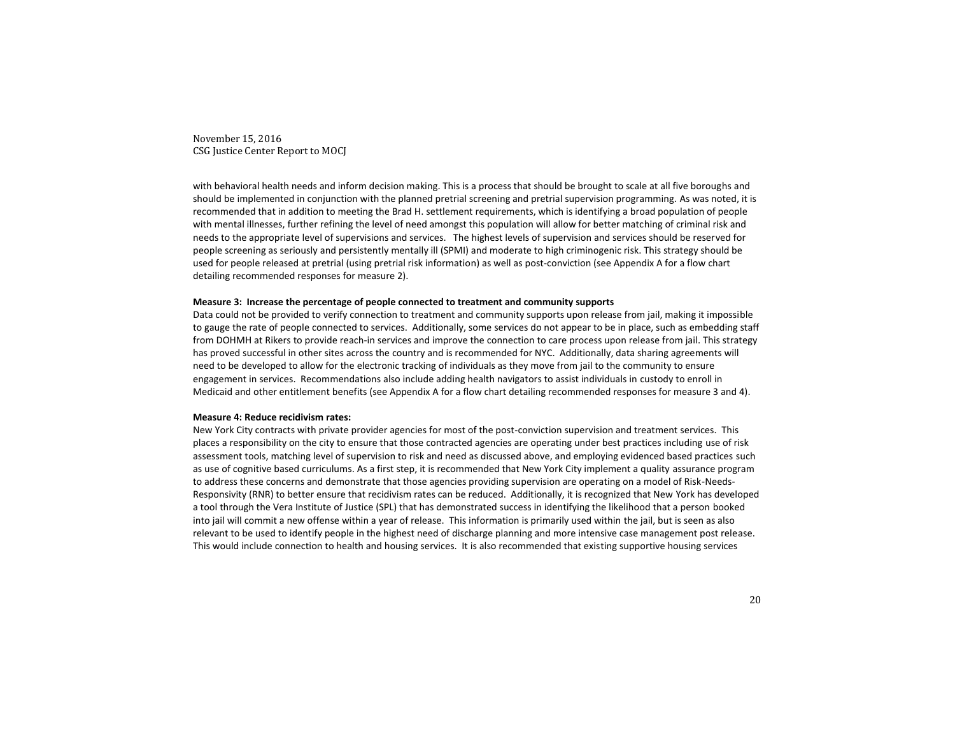with behavioral health needs and inform decision making. This is a process that should be brought to scale at all five boroughs and should be implemented in conjunction with the planned pretrial screening and pretrial supervision programming. As was noted, it is recommended that in addition to meeting the Brad H. settlement requirements, which is identifying a broad population of people with mental illnesses, further refining the level of need amongst this population will allow for better matching of criminal risk and needs to the appropriate level of supervisions and services. The highest levels of supervision and services should be reserved for people screening as seriously and persistently mentally ill (SPMI) and moderate to high criminogenic risk. This strategy should be used for people released at pretrial (using pretrial risk information) as well as post-conviction (see Appendix A for a flow chart detailing recommended responses for measure 2).

#### **Measure 3: Increase the percentage of people connected to treatment and community supports**

Data could not be provided to verify connection to treatment and community supports upon release from jail, making it impossible to gauge the rate of people connected to services. Additionally, some services do not appear to be in place, such as embedding staff from DOHMH at Rikers to provide reach-in services and improve the connection to care process upon release from jail. This strategy has proved successful in other sites across the country and is recommended for NYC. Additionally, data sharing agreements will need to be developed to allow for the electronic tracking of individuals as they move from jail to the community to ensure engagement in services. Recommendations also include adding health navigators to assist individuals in custody to enroll in Medicaid and other entitlement benefits (see Appendix A for a flow chart detailing recommended responses for measure 3 and 4).

#### **Measure 4: Reduce recidivism rates:**

New York City contracts with private provider agencies for most of the post-conviction supervision and treatment services. This places a responsibility on the city to ensure that those contracted agencies are operating under best practices including use of risk assessment tools, matching level of supervision to risk and need as discussed above, and employing evidenced based practices such as use of cognitive based curriculums. As a first step, it is recommended that New York City implement a quality assurance program to address these concerns and demonstrate that those agencies providing supervision are operating on a model of Risk-Needs-Responsivity (RNR) to better ensure that recidivism rates can be reduced. Additionally, it is recognized that New York has developed a tool through the Vera Institute of Justice (SPL) that has demonstrated success in identifying the likelihood that a person booked into jail will commit a new offense within a year of release. This information is primarily used within the jail, but is seen as also relevant to be used to identify people in the highest need of discharge planning and more intensive case management post release. This would include connection to health and housing services. It is also recommended that existing supportive housing services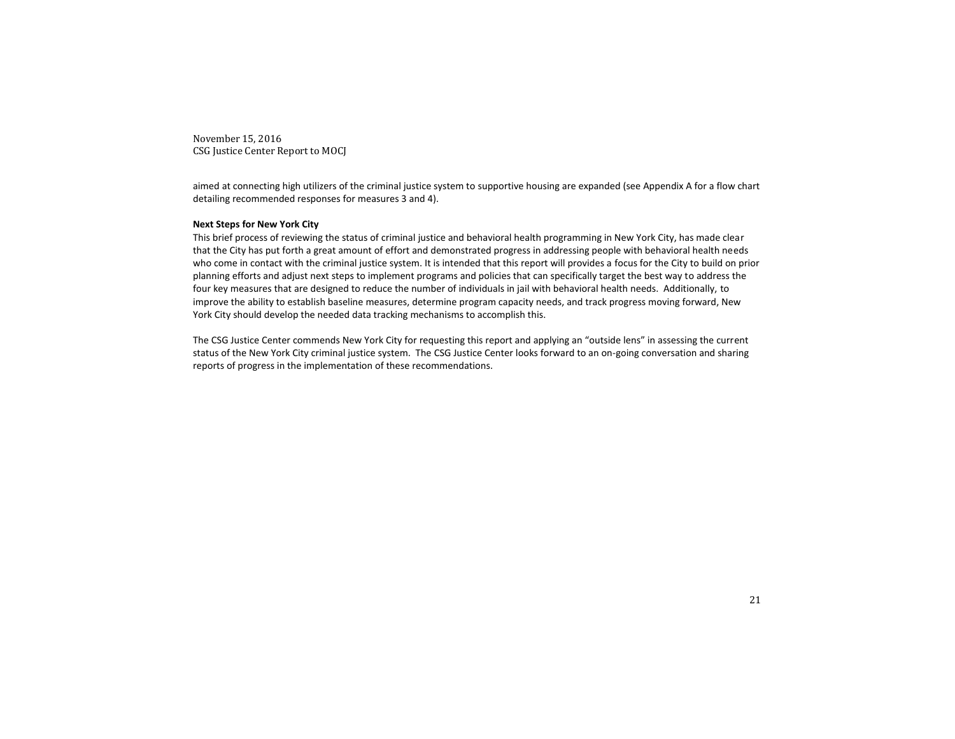aimed at connecting high utilizers of the criminal justice system to supportive housing are expanded (see Appendix A for a flow chart detailing recommended responses for measures 3 and 4).

## **Next Steps for New York City**

This brief process of reviewing the status of criminal justice and behavioral health programming in New York City, has made clear that the City has put forth a great amount of effort and demonstrated progress in addressing people with behavioral health needs who come in contact with the criminal justice system. It is intended that this report will provides a focus for the City to build on prior planning efforts and adjust next steps to implement programs and policies that can specifically target the best way to address the four key measures that are designed to reduce the number of individuals in jail with behavioral health needs. Additionally, to improve the ability to establish baseline measures, determine program capacity needs, and track progress moving forward, New York City should develop the needed data tracking mechanisms to accomplish this.

The CSG Justice Center commends New York City for requesting this report and applying an "outside lens" in assessing the current status of the New York City criminal justice system. The CSG Justice Center looks forward to an on-going conversation and sharing reports of progress in the implementation of these recommendations.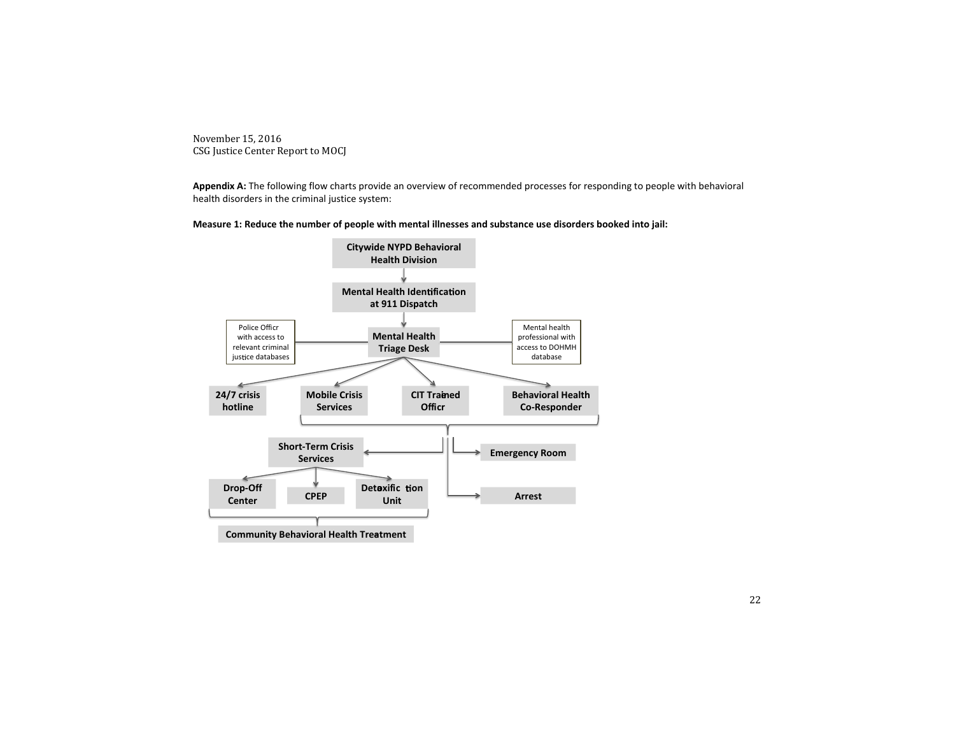**Appendix A:** The following flow charts provide an overview of recommended processes for responding to people with behavioral health disorders in the criminal justice system:



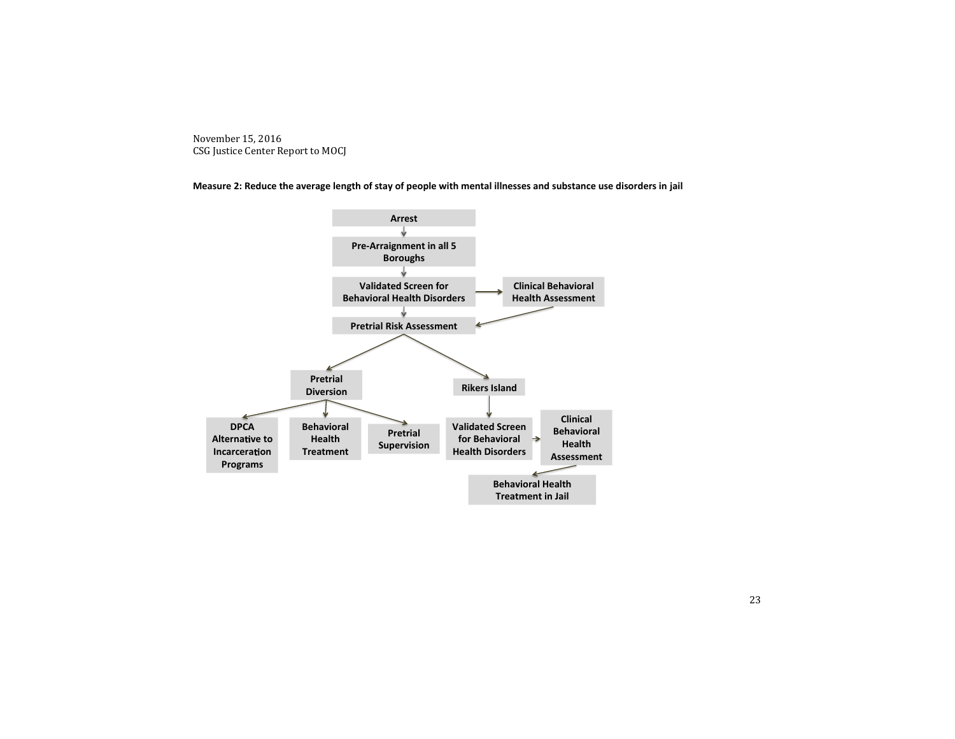**Measure 2: Reduce the average length of stay of people with mental illnesses and substance use disorders in jail**